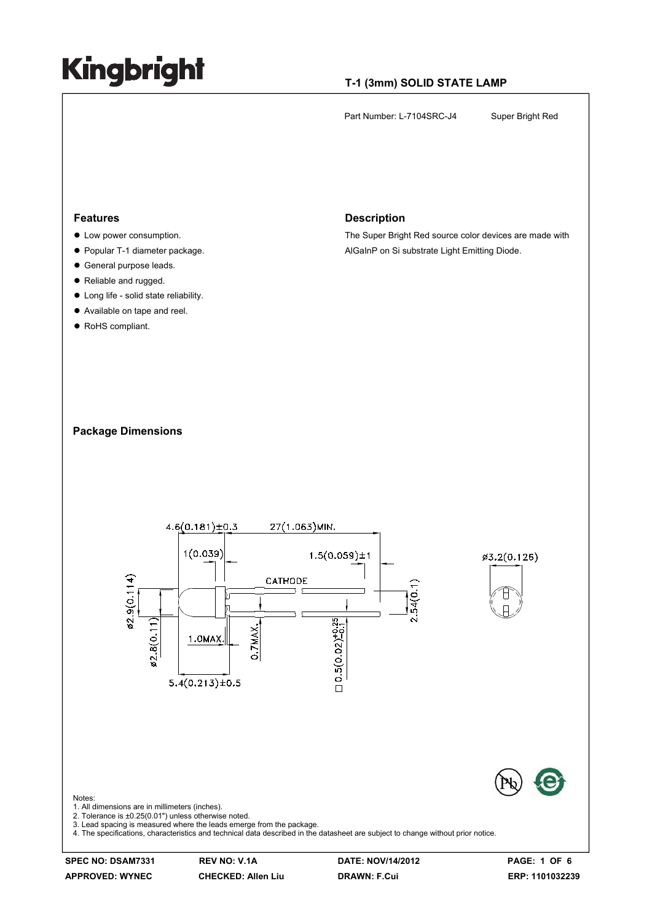### **T-1 (3mm) SOLID STATE LAMP**

Part Number: L-7104SRC-J4 Super Bright Red

#### **Features**

- $\bullet$  Low power consumption.
- Popular T-1 diameter package.
- $\bullet$  General purpose leads.
- Reliable and rugged.
- $\bullet$  Long life solid state reliability.
- Available on tape and reel.
- RoHS compliant.

#### **Description**

The Super Bright Red source color devices are made with AlGaInP on Si substrate Light Emitting Diode.

#### **Package Dimensions**



**SPEC NO: DSAM7331 REV NO: V.1A DATE: NOV/14/2012 PAGE: 1 OF 6** 

**APPROVED: WYNEC CHECKED: Allen Liu DRAWN: F.Cui ERP: 1101032239**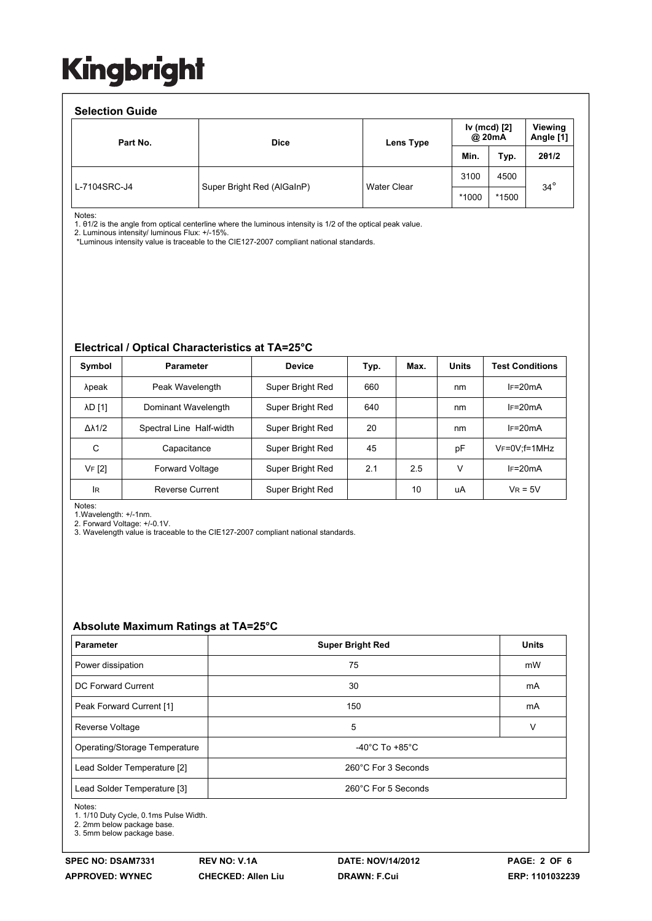### **Selection Guide**

| <b>Selection Guide</b> |                            |             |       |                        |            |  |                      |  |  |
|------------------------|----------------------------|-------------|-------|------------------------|------------|--|----------------------|--|--|
| Part No.               | <b>Dice</b>                | Lens Type   |       | Iv (mcd) [2]<br>@ 20mA |            |  | Viewing<br>Angle [1] |  |  |
|                        |                            |             | Min.  | Typ.                   | 201/2      |  |                      |  |  |
| L-7104SRC-J4           | Super Bright Red (AlGaInP) | Water Clear | 3100  | 4500                   | $34^\circ$ |  |                      |  |  |
|                        |                            |             | *1000 | *1500                  |            |  |                      |  |  |

Notes:

1. θ1/2 is the angle from optical centerline where the luminous intensity is 1/2 of the optical peak value.

2. Luminous intensity/ luminous Flux: +/-15%.

\*Luminous intensity value is traceable to the CIE127-2007 compliant national standards.

### **Electrical / Optical Characteristics at TA=25°C**

| Symbol              | <b>Parameter</b>         | <b>Device</b>    | Typ. | Max. | <b>Units</b> | <b>Test Conditions</b>  |
|---------------------|--------------------------|------------------|------|------|--------------|-------------------------|
| λpeak               | Peak Wavelength          | Super Bright Red | 660  |      | nm           | $IF=20mA$               |
| <b>AD [1]</b>       | Dominant Wavelength      | Super Bright Red | 640  |      | nm           | $IF=20mA$               |
| $\Delta\lambda$ 1/2 | Spectral Line Half-width | Super Bright Red | 20   |      | nm           | $IF=20mA$               |
| С                   | Capacitance              | Super Bright Red | 45   |      | pF           | $V_F = 0V$ : $f = 1MHz$ |
| VF [2]              | <b>Forward Voltage</b>   | Super Bright Red | 2.1  | 2.5  | v            | $IF=20mA$               |
| lR                  | <b>Reverse Current</b>   | Super Bright Red |      | 10   | uA           | $V_R = 5V$              |

Notes:

1.Wavelength: +/-1nm. 2. Forward Voltage: +/-0.1V.

3. Wavelength value is traceable to the CIE127-2007 compliant national standards.

#### **Absolute Maximum Ratings at TA=25°C**

| <b>Parameter</b>              | <b>Super Bright Red</b>              | <b>Units</b> |  |
|-------------------------------|--------------------------------------|--------------|--|
| Power dissipation             | 75                                   | mW           |  |
| DC Forward Current            | 30                                   | mA           |  |
| Peak Forward Current [1]      | 150                                  | mA           |  |
| <b>Reverse Voltage</b>        | 5                                    | v            |  |
| Operating/Storage Temperature | -40 $^{\circ}$ C To +85 $^{\circ}$ C |              |  |
| Lead Solder Temperature [2]   | 260°C For 3 Seconds                  |              |  |
| Lead Solder Temperature [3]   | 260°C For 5 Seconds                  |              |  |

Notes:

1. 1/10 Duty Cycle, 0.1ms Pulse Width.

2. 2mm below package base.

3. 5mm below package base.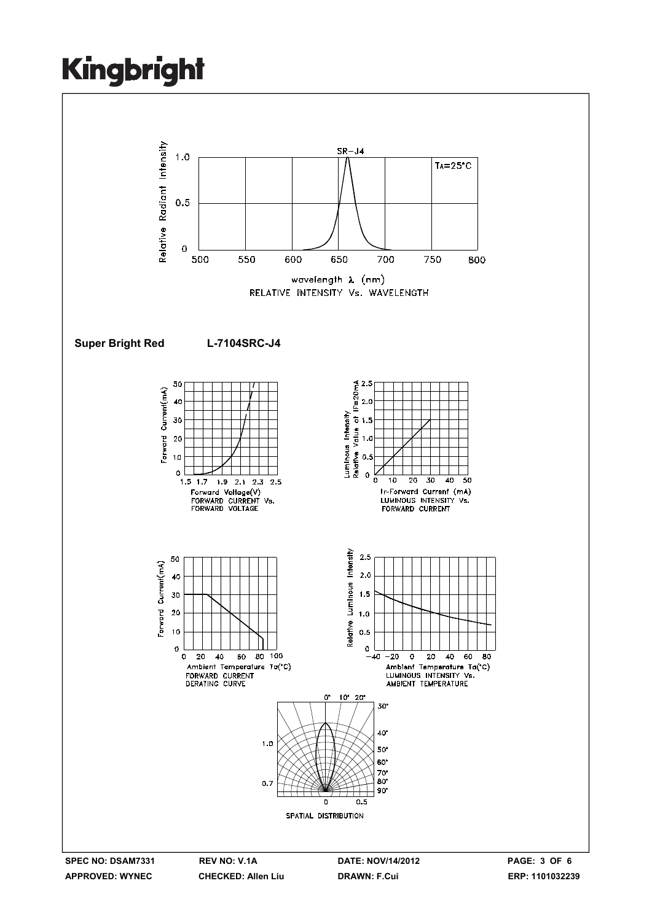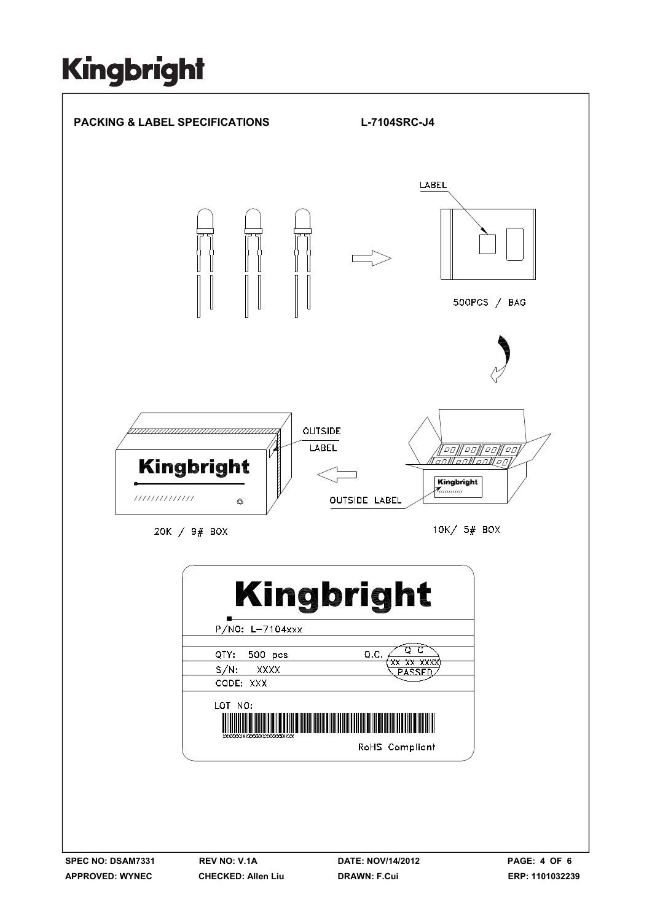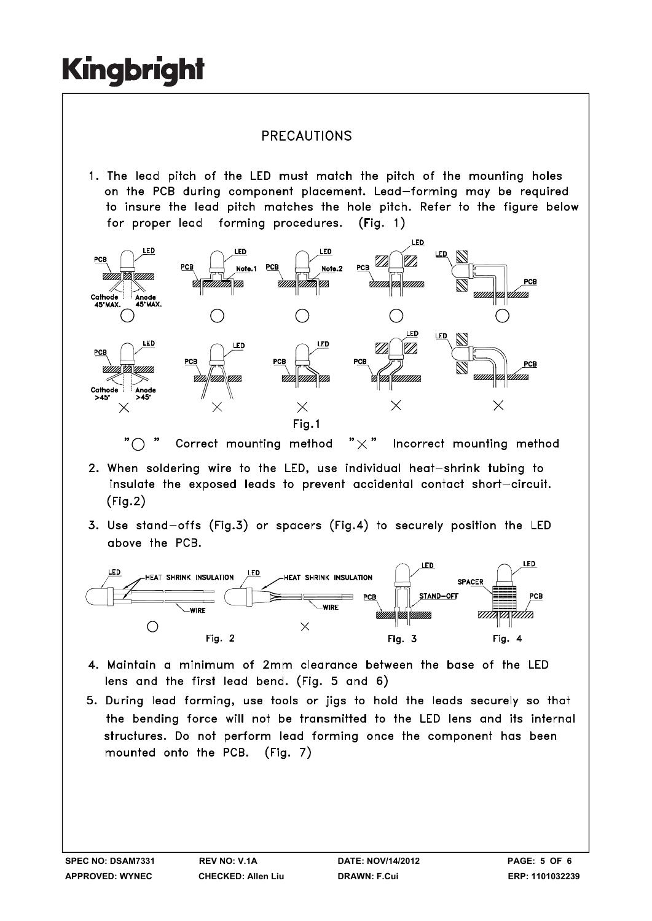### **PRECAUTIONS**

1. The lead pitch of the LED must match the pitch of the mounting holes on the PCB during component placement. Lead-forming may be required to insure the lead pitch matches the hole pitch. Refer to the figure below for proper lead forming procedures.  $(Fiq. 1)$ 



" $\bigcap$ Correct mounting method "  $\times$  " Incorrect mounting method

- 2. When soldering wire to the LED, use individual heat-shrink tubing to insulate the exposed leads to prevent accidental contact short-circuit.  $(Fig.2)$
- 3. Use stand-offs (Fig.3) or spacers (Fig.4) to securely position the LED above the PCB.



- 4. Maintain a minimum of 2mm clearance between the base of the LED lens and the first lead bend. (Fig. 5 and 6)
- 5. During lead forming, use tools or jigs to hold the leads securely so that the bending force will not be transmitted to the LED lens and its internal structures. Do not perform lead forming once the component has been mounted onto the PCB. (Fig. 7)